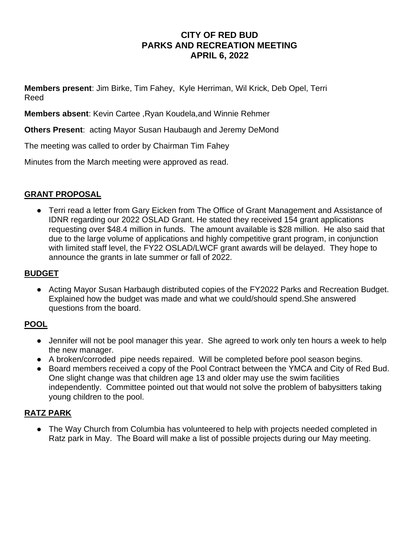# **CITY OF RED BUD PARKS AND RECREATION MEETING APRIL 6, 2022**

**Members present**: Jim Birke, Tim Fahey, Kyle Herriman, Wil Krick, Deb Opel, Terri Reed

**Members absent**: Kevin Cartee ,Ryan Koudela,and Winnie Rehmer

**Others Present**: acting Mayor Susan Haubaugh and Jeremy DeMond

The meeting was called to order by Chairman Tim Fahey

Minutes from the March meeting were approved as read.

### **GRANT PROPOSAL**

● Terri read a letter from Gary Eicken from The Office of Grant Management and Assistance of IDNR regarding our 2022 OSLAD Grant. He stated they received 154 grant applications requesting over \$48.4 million in funds. The amount available is \$28 million. He also said that due to the large volume of applications and highly competitive grant program, in conjunction with limited staff level, the FY22 OSLAD/LWCF grant awards will be delayed. They hope to announce the grants in late summer or fall of 2022.

### **BUDGET**

● Acting Mayor Susan Harbaugh distributed copies of the FY2022 Parks and Recreation Budget. Explained how the budget was made and what we could/should spend.She answered questions from the board.

### **POOL**

- Jennifer will not be pool manager this year. She agreed to work only ten hours a week to help the new manager.
- A broken/corroded pipe needs repaired. Will be completed before pool season begins.
- Board members received a copy of the Pool Contract between the YMCA and City of Red Bud. One slight change was that children age 13 and older may use the swim facilities independently. Committee pointed out that would not solve the problem of babysitters taking young children to the pool.

### **RATZ PARK**

• The Way Church from Columbia has volunteered to help with projects needed completed in Ratz park in May. The Board will make a list of possible projects during our May meeting.